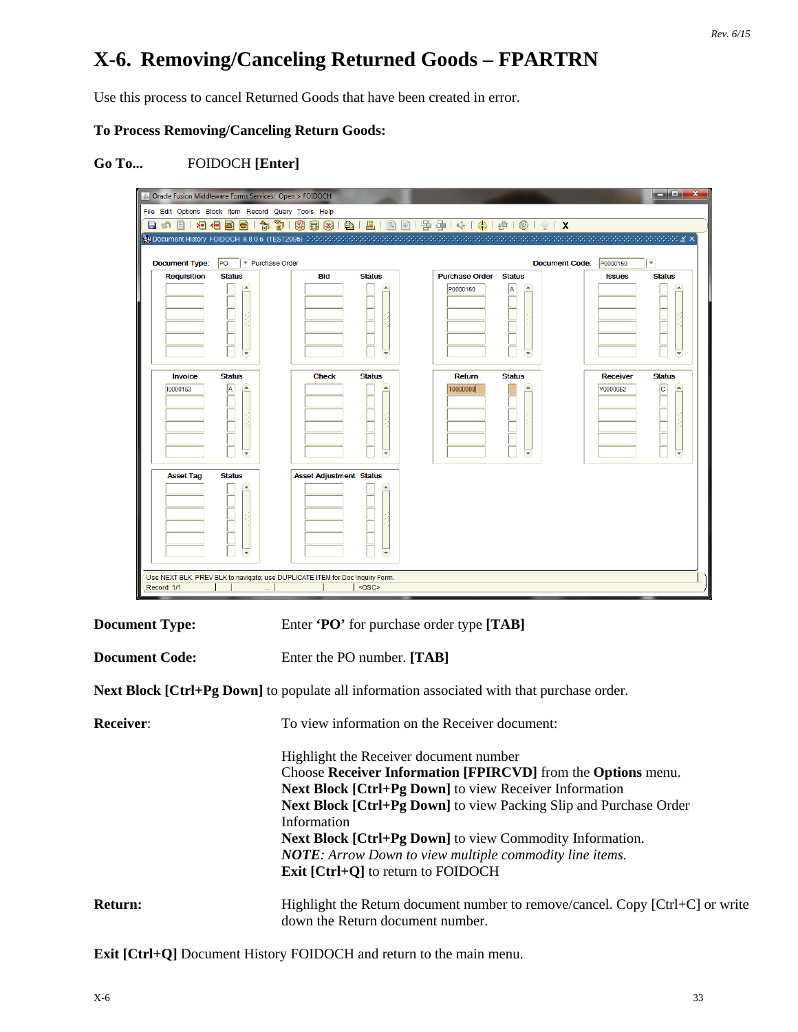# **X-6. Removing/Canceling Returned Goods – FPARTRN**

Use this process to cancel Returned Goods that have been created in error.

### **To Process Removing/Canceling Return Goods:**

## **Go To...** FOIDOCH **[Enter]**

| <b>Document Type:</b>      | Purchase Order<br>PO                              |                                |                                                          |                         | <b>Document Code:</b><br>P0000150 | ▼                    |
|----------------------------|---------------------------------------------------|--------------------------------|----------------------------------------------------------|-------------------------|-----------------------------------|----------------------|
| <b>Requisition</b>         | <b>Status</b><br>×<br>$\blacktriangledown$        | Bid<br><b>Status</b>           | <b>Purchase Order</b><br>P0000150<br>v,                  | <b>Status</b><br>A<br>₹ | <b>Issues</b>                     | <b>Status</b>        |
| <b>Invoice</b><br>10000153 | <b>Status</b><br>A<br>$\left  \mathbf{v} \right $ | <b>Check</b><br><b>Status</b>  | Return<br><b>T0000008</b><br>$\left  \mathbf{v} \right $ | <b>Status</b><br>×.     | <b>Receiver</b><br>Y0000052       | <b>Status</b><br>lc. |
| <b>Asset Tag</b>           | <b>Status</b><br>$\blacktriangledown$             | <b>Asset Adjustment Status</b> | $\blacktriangledown$                                     |                         |                                   |                      |

**Document Code:** Enter the PO number. **[TAB]** 

**Next Block [Ctrl+Pg Down]** to populate all information associated with that purchase order.

| <b>Receiver:</b> | To view information on the Receiver document:                                                                         |  |  |  |  |  |
|------------------|-----------------------------------------------------------------------------------------------------------------------|--|--|--|--|--|
|                  | Highlight the Receiver document number                                                                                |  |  |  |  |  |
|                  | Choose Receiver Information [FPIRCVD] from the Options menu.                                                          |  |  |  |  |  |
|                  | <b>Next Block [Ctrl+Pg Down]</b> to view Receiver Information                                                         |  |  |  |  |  |
|                  | <b>Next Block [Ctrl+Pg Down]</b> to view Packing Slip and Purchase Order                                              |  |  |  |  |  |
|                  | Information                                                                                                           |  |  |  |  |  |
|                  | <b>Next Block [Ctrl+Pg Down]</b> to view Commodity Information.                                                       |  |  |  |  |  |
|                  | <b>NOTE:</b> Arrow Down to view multiple commodity line items.                                                        |  |  |  |  |  |
|                  | <b>Exit [Ctrl+Q]</b> to return to FOIDOCH                                                                             |  |  |  |  |  |
| Return:          | Highlight the Return document number to remove/cancel. Copy $[Ctrl + C]$ or write<br>down the Return document number. |  |  |  |  |  |

**Exit [Ctrl+Q]** Document History FOIDOCH and return to the main menu.